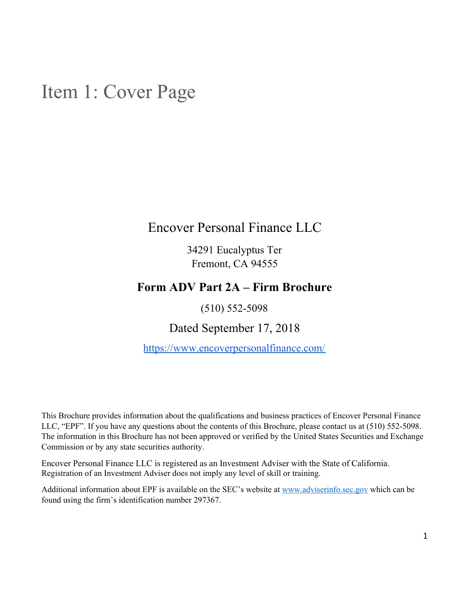## <span id="page-0-0"></span>Item 1: Cover Page

## Encover Personal Finance LLC

34291 Eucalyptus Ter Fremont, CA 94555

## **Form ADV Part 2A – Firm Brochure**

(510) 552-5098

Dated September 17, 2018

<https://www.encoverpersonalfinance.com/>

This Brochure provides information about the qualifications and business practices of Encover Personal Finance LLC, "EPF". If you have any questions about the contents of this Brochure, please contact us at (510) 552-5098. The information in this Brochure has not been approved or verified by the United States Securities and Exchange Commission or by any state securities authority.

Encover Personal Finance LLC is registered as an Investment Adviser with the State of California. Registration of an Investment Adviser does not imply any level of skill or training.

Additional information about EPF is available on the SEC's website at [www.adviserinfo.sec.gov](http://www.adviserinfo.sec.gov/) which can be found using the firm's identification number 297367.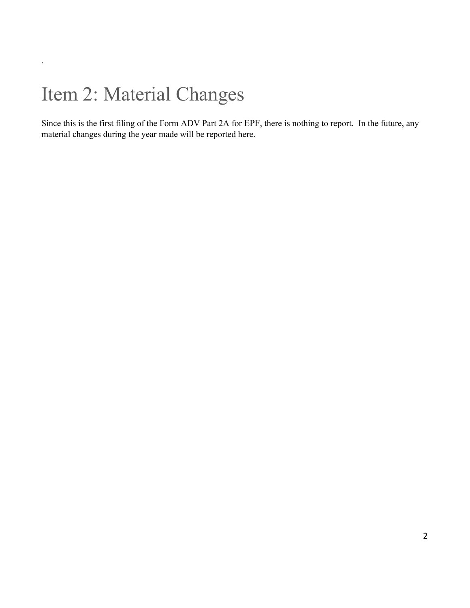## <span id="page-1-0"></span>Item 2: Material Changes

.

Since this is the first filing of the Form ADV Part 2A for EPF, there is nothing to report. In the future, any material changes during the year made will be reported here.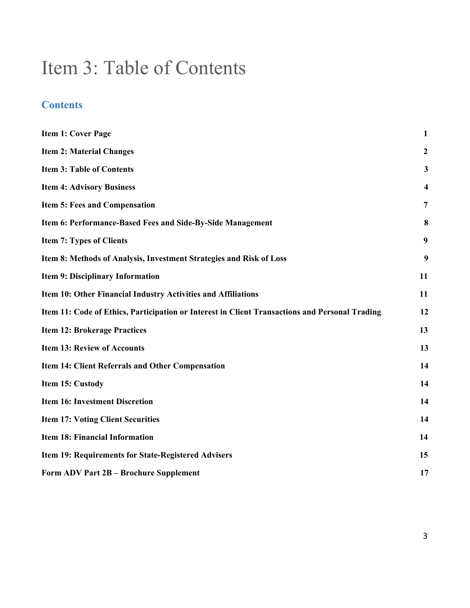## <span id="page-2-0"></span>Item 3: Table of Contents

## **Contents**

| <b>Item 1: Cover Page</b>                                                                      | $\mathbf{1}$            |
|------------------------------------------------------------------------------------------------|-------------------------|
| <b>Item 2: Material Changes</b>                                                                | $\boldsymbol{2}$        |
| <b>Item 3: Table of Contents</b>                                                               | 3                       |
| <b>Item 4: Advisory Business</b>                                                               | $\overline{\mathbf{4}}$ |
| <b>Item 5: Fees and Compensation</b>                                                           | $\overline{7}$          |
| Item 6: Performance-Based Fees and Side-By-Side Management                                     | 8                       |
| <b>Item 7: Types of Clients</b>                                                                | 9                       |
| Item 8: Methods of Analysis, Investment Strategies and Risk of Loss                            | 9                       |
| Item 9: Disciplinary Information                                                               | 11                      |
| Item 10: Other Financial Industry Activities and Affiliations                                  | 11                      |
| Item 11: Code of Ethics, Participation or Interest in Client Transactions and Personal Trading | 12                      |
| <b>Item 12: Brokerage Practices</b>                                                            | 13                      |
| <b>Item 13: Review of Accounts</b>                                                             | 13                      |
| <b>Item 14: Client Referrals and Other Compensation</b>                                        | 14                      |
| Item 15: Custody                                                                               | 14                      |
| <b>Item 16: Investment Discretion</b>                                                          | 14                      |
| <b>Item 17: Voting Client Securities</b>                                                       | 14                      |
| <b>Item 18: Financial Information</b>                                                          | 14                      |
| Item 19: Requirements for State-Registered Advisers                                            | 15                      |
| Form ADV Part 2B - Brochure Supplement                                                         | 17                      |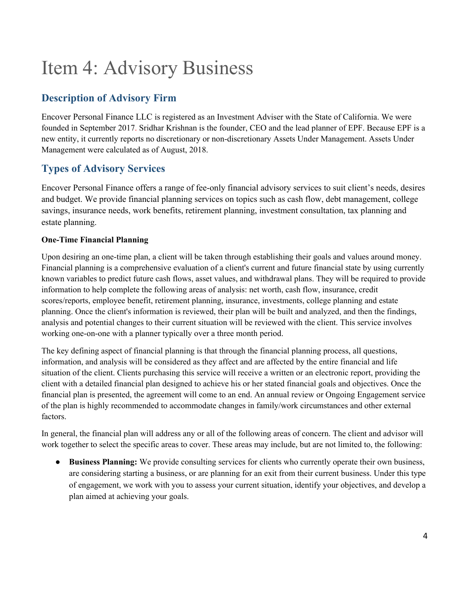# <span id="page-3-0"></span>Item 4: Advisory Business

## **Description of Advisory Firm**

Encover Personal Finance LLC is registered as an Investment Adviser with the State of California. We were founded in September 2017. Sridhar Krishnan is the founder, CEO and the lead planner of EPF. Because EPF is a new entity, it currently reports no discretionary or non-discretionary Assets Under Management. Assets Under Management were calculated as of August, 2018.

## **Types of Advisory Services**

Encover Personal Finance offers a range of fee-only financial advisory services to suit client's needs, desires and budget. We provide financial planning services on topics such as cash flow, debt management, college savings, insurance needs, work benefits, retirement planning, investment consultation, tax planning and estate planning.

### **One-Time Financial Planning**

Upon desiring an one-time plan, a client will be taken through establishing their goals and values around money. Financial planning is a comprehensive evaluation of a client's current and future financial state by using currently known variables to predict future cash flows, asset values, and withdrawal plans. They will be required to provide information to help complete the following areas of analysis: net worth, cash flow, insurance, credit scores/reports, employee benefit, retirement planning, insurance, investments, college planning and estate planning. Once the client's information is reviewed, their plan will be built and analyzed, and then the findings, analysis and potential changes to their current situation will be reviewed with the client. This service involves working one-on-one with a planner typically over a three month period.

The key defining aspect of financial planning is that through the financial planning process, all questions, information, and analysis will be considered as they affect and are affected by the entire financial and life situation of the client. Clients purchasing this service will receive a written or an electronic report, providing the client with a detailed financial plan designed to achieve his or her stated financial goals and objectives. Once the financial plan is presented, the agreement will come to an end. An annual review or Ongoing Engagement service of the plan is highly recommended to accommodate changes in family/work circumstances and other external factors.

In general, the financial plan will address any or all of the following areas of concern. The client and advisor will work together to select the specific areas to cover. These areas may include, but are not limited to, the following:

● **Business Planning:** We provide consulting services for clients who currently operate their own business, are considering starting a business, or are planning for an exit from their current business. Under this type of engagement, we work with you to assess your current situation, identify your objectives, and develop a plan aimed at achieving your goals.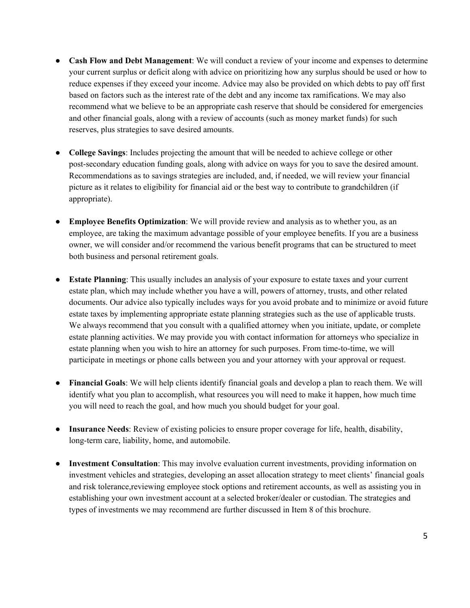- **Cash Flow and Debt Management**: We will conduct a review of your income and expenses to determine your current surplus or deficit along with advice on prioritizing how any surplus should be used or how to reduce expenses if they exceed your income. Advice may also be provided on which debts to pay off first based on factors such as the interest rate of the debt and any income tax ramifications. We may also recommend what we believe to be an appropriate cash reserve that should be considered for emergencies and other financial goals, along with a review of accounts (such as money market funds) for such reserves, plus strategies to save desired amounts.
- **College Savings**: Includes projecting the amount that will be needed to achieve college or other post-secondary education funding goals, along with advice on ways for you to save the desired amount. Recommendations as to savings strategies are included, and, if needed, we will review your financial picture as it relates to eligibility for financial aid or the best way to contribute to grandchildren (if appropriate).
- **Employee Benefits Optimization**: We will provide review and analysis as to whether you, as an employee, are taking the maximum advantage possible of your employee benefits. If you are a business owner, we will consider and/or recommend the various benefit programs that can be structured to meet both business and personal retirement goals.
- **Estate Planning**: This usually includes an analysis of your exposure to estate taxes and your current estate plan, which may include whether you have a will, powers of attorney, trusts, and other related documents. Our advice also typically includes ways for you avoid probate and to minimize or avoid future estate taxes by implementing appropriate estate planning strategies such as the use of applicable trusts. We always recommend that you consult with a qualified attorney when you initiate, update, or complete estate planning activities. We may provide you with contact information for attorneys who specialize in estate planning when you wish to hire an attorney for such purposes. From time-to-time, we will participate in meetings or phone calls between you and your attorney with your approval or request.
- **Financial Goals**: We will help clients identify financial goals and develop a plan to reach them. We will identify what you plan to accomplish, what resources you will need to make it happen, how much time you will need to reach the goal, and how much you should budget for your goal.
- **Insurance Needs**: Review of existing policies to ensure proper coverage for life, health, disability, long-term care, liability, home, and automobile.
- **Investment Consultation**: This may involve evaluation current investments, providing information on investment vehicles and strategies, developing an asset allocation strategy to meet clients' financial goals and risk tolerance,reviewing employee stock options and retirement accounts, as well as assisting you in establishing your own investment account at a selected broker/dealer or custodian. The strategies and types of investments we may recommend are further discussed in Item 8 of this brochure.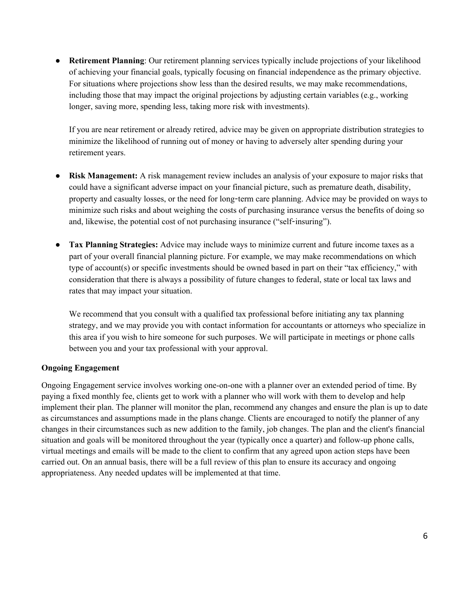● **Retirement Planning**: Our retirement planning services typically include projections of your likelihood of achieving your financial goals, typically focusing on financial independence as the primary objective. For situations where projections show less than the desired results, we may make recommendations, including those that may impact the original projections by adjusting certain variables (e.g., working longer, saving more, spending less, taking more risk with investments).

If you are near retirement or already retired, advice may be given on appropriate distribution strategies to minimize the likelihood of running out of money or having to adversely alter spending during your retirement years.

- **Risk Management:** A risk management review includes an analysis of your exposure to major risks that could have a significant adverse impact on your financial picture, such as premature death, disability, property and casualty losses, or the need for long-term care planning. Advice may be provided on ways to minimize such risks and about weighing the costs of purchasing insurance versus the benefits of doing so and, likewise, the potential cost of not purchasing insurance ("self-insuring").
- **Tax Planning Strategies:** Advice may include ways to minimize current and future income taxes as a part of your overall financial planning picture. For example, we may make recommendations on which type of account(s) or specific investments should be owned based in part on their "tax efficiency," with consideration that there is always a possibility of future changes to federal, state or local tax laws and rates that may impact your situation.

We recommend that you consult with a qualified tax professional before initiating any tax planning strategy, and we may provide you with contact information for accountants or attorneys who specialize in this area if you wish to hire someone for such purposes. We will participate in meetings or phone calls between you and your tax professional with your approval.

#### **Ongoing Engagement**

Ongoing Engagement service involves working one-on-one with a planner over an extended period of time. By paying a fixed monthly fee, clients get to work with a planner who will work with them to develop and help implement their plan. The planner will monitor the plan, recommend any changes and ensure the plan is up to date as circumstances and assumptions made in the plans change. Clients are encouraged to notify the planner of any changes in their circumstances such as new addition to the family, job changes. The plan and the client's financial situation and goals will be monitored throughout the year (typically once a quarter) and follow-up phone calls, virtual meetings and emails will be made to the client to confirm that any agreed upon action steps have been carried out. On an annual basis, there will be a full review of this plan to ensure its accuracy and ongoing appropriateness. Any needed updates will be implemented at that time.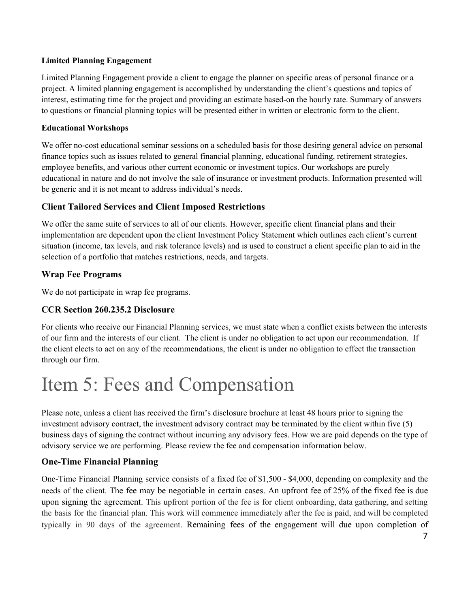#### **Limited Planning Engagement**

Limited Planning Engagement provide a client to engage the planner on specific areas of personal finance or a project. A limited planning engagement is accomplished by understanding the client's questions and topics of interest, estimating time for the project and providing an estimate based-on the hourly rate. Summary of answers to questions or financial planning topics will be presented either in written or electronic form to the client.

#### **Educational Workshops**

We offer no-cost educational seminar sessions on a scheduled basis for those desiring general advice on personal finance topics such as issues related to general financial planning, educational funding, retirement strategies, employee benefits, and various other current economic or investment topics. Our workshops are purely educational in nature and do not involve the sale of insurance or investment products. Information presented will be generic and it is not meant to address individual's needs.

### **Client Tailored Services and Client Imposed Restrictions**

We offer the same suite of services to all of our clients. However, specific client financial plans and their implementation are dependent upon the client Investment Policy Statement which outlines each client's current situation (income, tax levels, and risk tolerance levels) and is used to construct a client specific plan to aid in the selection of a portfolio that matches restrictions, needs, and targets.

### **Wrap Fee Programs**

We do not participate in wrap fee programs.

#### **CCR Section 260.235.2 Disclosure**

For clients who receive our Financial Planning services, we must state when a conflict exists between the interests of our firm and the interests of our client. The client is under no obligation to act upon our recommendation. If the client elects to act on any of the recommendations, the client is under no obligation to effect the transaction through our firm.

## <span id="page-6-0"></span>Item 5: Fees and Compensation

Please note, unless a client has received the firm's disclosure brochure at least 48 hours prior to signing the investment advisory contract, the investment advisory contract may be terminated by the client within five (5) business days of signing the contract without incurring any advisory fees. How we are paid depends on the type of advisory service we are performing. Please review the fee and compensation information below.

#### **One-Time Financial Planning**

One-Time Financial Planning service consists of a fixed fee of \$1,500 - \$4,000, depending on complexity and the needs of the client. The fee may be negotiable in certain cases. An upfront fee of 25% of the fixed fee is due upon signing the agreement. This upfront portion of the fee is for client onboarding, data gathering, and setting the basis for the financial plan. This work will commence immediately after the fee is paid, and will be completed typically in 90 days of the agreement. Remaining fees of the engagement will due upon completion of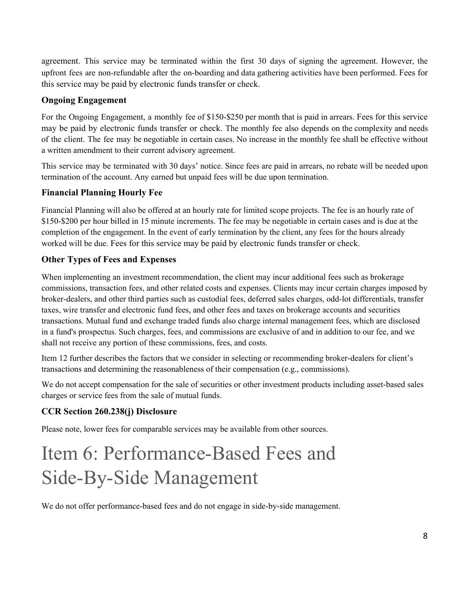agreement. This service may be terminated within the first 30 days of signing the agreement. However, the upfront fees are non-refundable after the on-boarding and data gathering activities have been performed. Fees for this service may be paid by electronic funds transfer or check.

### **Ongoing Engagement**

For the Ongoing Engagement, a monthly fee of \$150-\$250 per month that is paid in arrears. Fees for this service may be paid by electronic funds transfer or check. The monthly fee also depends on the complexity and needs of the client. The fee may be negotiable in certain cases. No increase in the monthly fee shall be effective without a written amendment to their current advisory agreement.

This service may be terminated with 30 days' notice. Since fees are paid in arrears, no rebate will be needed upon termination of the account. Any earned but unpaid fees will be due upon termination.

### **Financial Planning Hourly Fee**

Financial Planning will also be offered at an hourly rate for limited scope projects. The fee is an hourly rate of \$150-\$200 per hour billed in 15 minute increments. The fee may be negotiable in certain cases and is due at the completion of the engagement. In the event of early termination by the client, any fees for the hours already worked will be due. Fees for this service may be paid by electronic funds transfer or check.

### **Other Types of Fees and Expenses**

When implementing an investment recommendation, the client may incur additional fees such as brokerage commissions, transaction fees, and other related costs and expenses. Clients may incur certain charges imposed by broker-dealers, and other third parties such as custodial fees, deferred sales charges, odd-lot differentials, transfer taxes, wire transfer and electronic fund fees, and other fees and taxes on brokerage accounts and securities transactions. Mutual fund and exchange traded funds also charge internal management fees, which are disclosed in a fund's prospectus. Such charges, fees, and commissions are exclusive of and in addition to our fee, and we shall not receive any portion of these commissions, fees, and costs.

Item 12 further describes the factors that we consider in selecting or recommending broker-dealers for client's transactions and determining the reasonableness of their compensation (e.g., commissions).

We do not accept compensation for the sale of securities or other investment products including asset-based sales charges or service fees from the sale of mutual funds.

#### **CCR Section 260.238(j) Disclosure**

Please note, lower fees for comparable services may be available from other sources.

## <span id="page-7-0"></span>Item 6: Performance-Based Fees and Side-By-Side Management

We do not offer performance-based fees and do not engage in side-by-side management.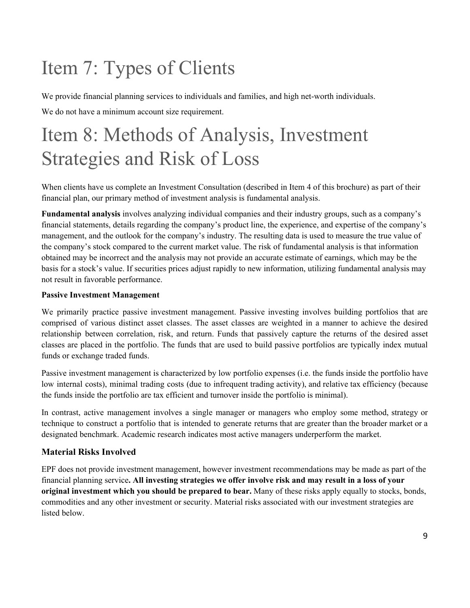# <span id="page-8-0"></span>Item 7: Types of Clients

We provide financial planning services to individuals and families, and high net-worth individuals. We do not have a minimum account size requirement.

## <span id="page-8-1"></span>Item 8: Methods of Analysis, Investment Strategies and Risk of Loss

When clients have us complete an Investment Consultation (described in Item 4 of this brochure) as part of their financial plan, our primary method of investment analysis is fundamental analysis.

**Fundamental analysis** involves analyzing individual companies and their industry groups, such as a company's financial statements, details regarding the company's product line, the experience, and expertise of the company's management, and the outlook for the company's industry. The resulting data is used to measure the true value of the company's stock compared to the current market value. The risk of fundamental analysis is that information obtained may be incorrect and the analysis may not provide an accurate estimate of earnings, which may be the basis for a stock's value. If securities prices adjust rapidly to new information, utilizing fundamental analysis may not result in favorable performance.

#### **Passive Investment Management**

We primarily practice passive investment management. Passive investing involves building portfolios that are comprised of various distinct asset classes. The asset classes are weighted in a manner to achieve the desired relationship between correlation, risk, and return. Funds that passively capture the returns of the desired asset classes are placed in the portfolio. The funds that are used to build passive portfolios are typically index mutual funds or exchange traded funds.

Passive investment management is characterized by low portfolio expenses (i.e. the funds inside the portfolio have low internal costs), minimal trading costs (due to infrequent trading activity), and relative tax efficiency (because the funds inside the portfolio are tax efficient and turnover inside the portfolio is minimal).

In contrast, active management involves a single manager or managers who employ some method, strategy or technique to construct a portfolio that is intended to generate returns that are greater than the broader market or a designated benchmark. Academic research indicates most active managers underperform the market.

#### **Material Risks Involved**

EPF does not provide investment management, however investment recommendations may be made as part of the financial planning service**. All investing strategies we offer involve risk and may result in a loss of your original investment which you should be prepared to bear.** Many of these risks apply equally to stocks, bonds, commodities and any other investment or security. Material risks associated with our investment strategies are listed below.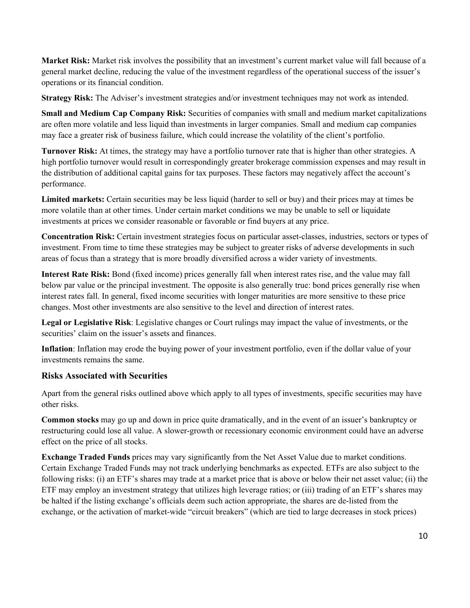**Market Risk:** Market risk involves the possibility that an investment's current market value will fall because of a general market decline, reducing the value of the investment regardless of the operational success of the issuer's operations or its financial condition.

**Strategy Risk:** The Adviser's investment strategies and/or investment techniques may not work as intended.

**Small and Medium Cap Company Risk:** Securities of companies with small and medium market capitalizations are often more volatile and less liquid than investments in larger companies. Small and medium cap companies may face a greater risk of business failure, which could increase the volatility of the client's portfolio.

**Turnover Risk:** At times, the strategy may have a portfolio turnover rate that is higher than other strategies. A high portfolio turnover would result in correspondingly greater brokerage commission expenses and may result in the distribution of additional capital gains for tax purposes. These factors may negatively affect the account's performance.

**Limited markets:** Certain securities may be less liquid (harder to sell or buy) and their prices may at times be more volatile than at other times. Under certain market conditions we may be unable to sell or liquidate investments at prices we consider reasonable or favorable or find buyers at any price.

**Concentration Risk:** Certain investment strategies focus on particular asset-classes, industries, sectors or types of investment. From time to time these strategies may be subject to greater risks of adverse developments in such areas of focus than a strategy that is more broadly diversified across a wider variety of investments.

**Interest Rate Risk:** Bond (fixed income) prices generally fall when interest rates rise, and the value may fall below par value or the principal investment. The opposite is also generally true: bond prices generally rise when interest rates fall. In general, fixed income securities with longer maturities are more sensitive to these price changes. Most other investments are also sensitive to the level and direction of interest rates.

**Legal or Legislative Risk**: Legislative changes or Court rulings may impact the value of investments, or the securities' claim on the issuer's assets and finances.

**Inflation**: Inflation may erode the buying power of your investment portfolio, even if the dollar value of your investments remains the same.

### **Risks Associated with Securities**

Apart from the general risks outlined above which apply to all types of investments, specific securities may have other risks.

**Common stocks** may go up and down in price quite dramatically, and in the event of an issuer's bankruptcy or restructuring could lose all value. A slower-growth or recessionary economic environment could have an adverse effect on the price of all stocks.

**Exchange Traded Funds** prices may vary significantly from the Net Asset Value due to market conditions. Certain Exchange Traded Funds may not track underlying benchmarks as expected. ETFs are also subject to the following risks: (i) an ETF's shares may trade at a market price that is above or below their net asset value; (ii) the ETF may employ an investment strategy that utilizes high leverage ratios; or (iii) trading of an ETF's shares may be halted if the listing exchange's officials deem such action appropriate, the shares are de-listed from the exchange, or the activation of market-wide "circuit breakers" (which are tied to large decreases in stock prices)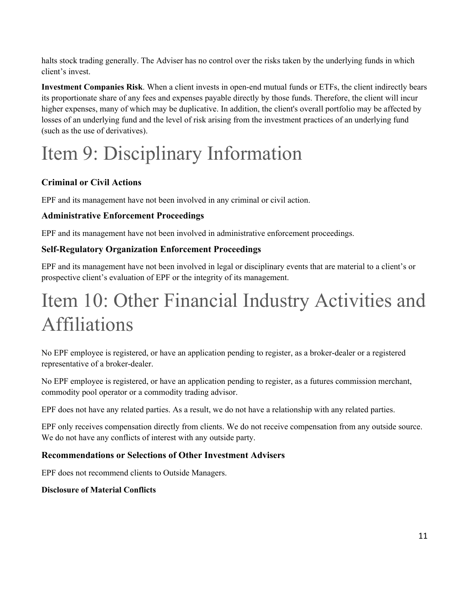halts stock trading generally. The Adviser has no control over the risks taken by the underlying funds in which client's invest.

**Investment Companies Risk**. When a client invests in open-end mutual funds or ETFs, the client indirectly bears its proportionate share of any fees and expenses payable directly by those funds. Therefore, the client will incur higher expenses, many of which may be duplicative. In addition, the client's overall portfolio may be affected by losses of an underlying fund and the level of risk arising from the investment practices of an underlying fund (such as the use of derivatives).

# <span id="page-10-0"></span>Item 9: Disciplinary Information

### **Criminal or Civil Actions**

EPF and its management have not been involved in any criminal or civil action.

### **Administrative Enforcement Proceedings**

EPF and its management have not been involved in administrative enforcement proceedings.

### **Self-Regulatory Organization Enforcement Proceedings**

EPF and its management have not been involved in legal or disciplinary events that are material to a client's or prospective client's evaluation of EPF or the integrity of its management.

## <span id="page-10-1"></span>Item 10: Other Financial Industry Activities and Affiliations

No EPF employee is registered, or have an application pending to register, as a broker-dealer or a registered representative of a broker-dealer.

No EPF employee is registered, or have an application pending to register, as a futures commission merchant, commodity pool operator or a commodity trading advisor.

EPF does not have any related parties. As a result, we do not have a relationship with any related parties.

EPF only receives compensation directly from clients. We do not receive compensation from any outside source. We do not have any conflicts of interest with any outside party.

### **Recommendations or Selections of Other Investment Advisers**

EPF does not recommend clients to Outside Managers.

#### **Disclosure of Material Conflicts**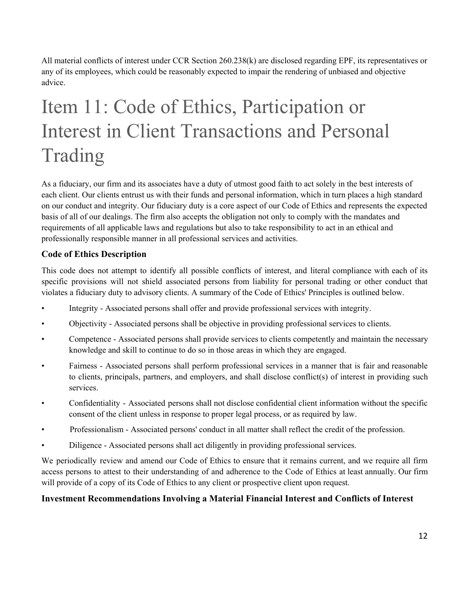All material conflicts of interest under CCR Section 260.238(k) are disclosed regarding EPF, its representatives or any of its employees, which could be reasonably expected to impair the rendering of unbiased and objective advice.

# <span id="page-11-0"></span>Item 11: Code of Ethics, Participation or Interest in Client Transactions and Personal Trading

As a fiduciary, our firm and its associates have a duty of utmost good faith to act solely in the best interests of each client. Our clients entrust us with their funds and personal information, which in turn places a high standard on our conduct and integrity. Our fiduciary duty is a core aspect of our Code of Ethics and represents the expected basis of all of our dealings. The firm also accepts the obligation not only to comply with the mandates and requirements of all applicable laws and regulations but also to take responsibility to act in an ethical and professionally responsible manner in all professional services and activities.

### **Code of Ethics Description**

This code does not attempt to identify all possible conflicts of interest, and literal compliance with each of its specific provisions will not shield associated persons from liability for personal trading or other conduct that violates a fiduciary duty to advisory clients. A summary of the Code of Ethics' Principles is outlined below.

- Integrity Associated persons shall offer and provide professional services with integrity.
- Objectivity Associated persons shall be objective in providing professional services to clients.
- Competence Associated persons shall provide services to clients competently and maintain the necessary knowledge and skill to continue to do so in those areas in which they are engaged.
- Fairness Associated persons shall perform professional services in a manner that is fair and reasonable to clients, principals, partners, and employers, and shall disclose conflict(s) of interest in providing such services.
- Confidentiality Associated persons shall not disclose confidential client information without the specific consent of the client unless in response to proper legal process, or as required by law.
- Professionalism Associated persons' conduct in all matter shall reflect the credit of the profession.
- Diligence Associated persons shall act diligently in providing professional services.

We periodically review and amend our Code of Ethics to ensure that it remains current, and we require all firm access persons to attest to their understanding of and adherence to the Code of Ethics at least annually. Our firm will provide of a copy of its Code of Ethics to any client or prospective client upon request.

### **Investment Recommendations Involving a Material Financial Interest and Conflicts of Interest**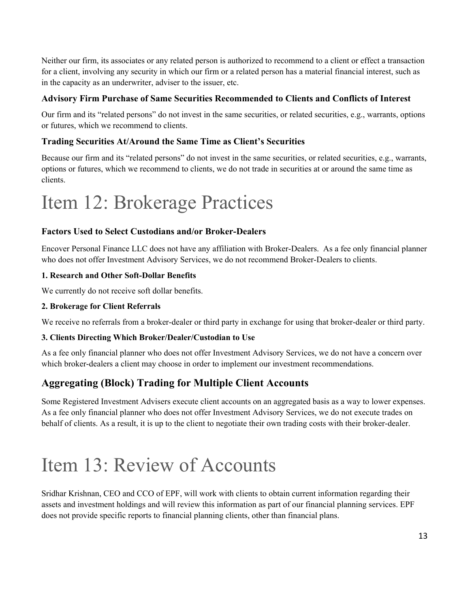Neither our firm, its associates or any related person is authorized to recommend to a client or effect a transaction for a client, involving any security in which our firm or a related person has a material financial interest, such as in the capacity as an underwriter, adviser to the issuer, etc.

### **Advisory Firm Purchase of Same Securities Recommended to Clients and Conflicts of Interest**

Our firm and its "related persons" do not invest in the same securities, or related securities, e.g., warrants, options or futures, which we recommend to clients.

### **Trading Securities At/Around the Same Time as Client's Securities**

Because our firm and its "related persons" do not invest in the same securities, or related securities, e.g., warrants, options or futures, which we recommend to clients, we do not trade in securities at or around the same time as clients.

## <span id="page-12-0"></span>Item 12: Brokerage Practices

### **Factors Used to Select Custodians and/or Broker-Dealers**

Encover Personal Finance LLC does not have any affiliation with Broker-Dealers. As a fee only financial planner who does not offer Investment Advisory Services, we do not recommend Broker-Dealers to clients.

#### **1. Research and Other Soft-Dollar Benefits**

We currently do not receive soft dollar benefits.

#### **2. Brokerage for Client Referrals**

We receive no referrals from a broker-dealer or third party in exchange for using that broker-dealer or third party.

#### **3. Clients Directing Which Broker/Dealer/Custodian to Use**

As a fee only financial planner who does not offer Investment Advisory Services, we do not have a concern over which broker-dealers a client may choose in order to implement our investment recommendations.

### **Aggregating (Block) Trading for Multiple Client Accounts**

Some Registered Investment Advisers execute client accounts on an aggregated basis as a way to lower expenses. As a fee only financial planner who does not offer Investment Advisory Services, we do not execute trades on behalf of clients. As a result, it is up to the client to negotiate their own trading costs with their broker-dealer.

## <span id="page-12-1"></span>Item 13: Review of Accounts

Sridhar Krishnan, CEO and CCO of EPF, will work with clients to obtain current information regarding their assets and investment holdings and will review this information as part of our financial planning services. EPF does not provide specific reports to financial planning clients, other than financial plans.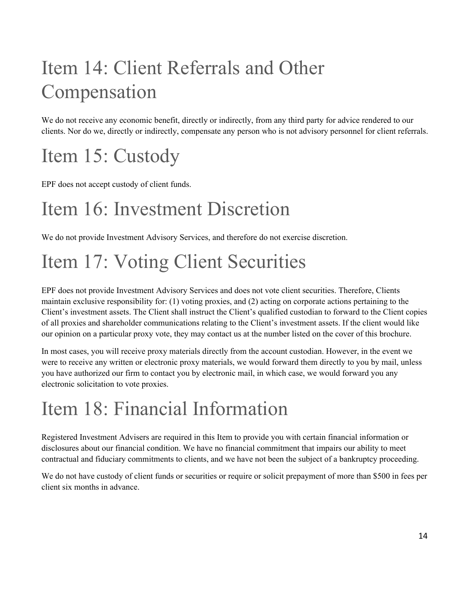# <span id="page-13-0"></span>Item 14: Client Referrals and Other Compensation

We do not receive any economic benefit, directly or indirectly, from any third party for advice rendered to our clients. Nor do we, directly or indirectly, compensate any person who is not advisory personnel for client referrals.

# <span id="page-13-1"></span>Item 15: Custody

EPF does not accept custody of client funds.

## <span id="page-13-2"></span>Item 16: Investment Discretion

We do not provide Investment Advisory Services, and therefore do not exercise discretion.

# <span id="page-13-3"></span>Item 17: Voting Client Securities

EPF does not provide Investment Advisory Services and does not vote client securities. Therefore, Clients maintain exclusive responsibility for: (1) voting proxies, and (2) acting on corporate actions pertaining to the Client's investment assets. The Client shall instruct the Client's qualified custodian to forward to the Client copies of all proxies and shareholder communications relating to the Client's investment assets. If the client would like our opinion on a particular proxy vote, they may contact us at the number listed on the cover of this brochure.

In most cases, you will receive proxy materials directly from the account custodian. However, in the event we were to receive any written or electronic proxy materials, we would forward them directly to you by mail, unless you have authorized our firm to contact you by electronic mail, in which case, we would forward you any electronic solicitation to vote proxies.

## <span id="page-13-4"></span>Item 18: Financial Information

Registered Investment Advisers are required in this Item to provide you with certain financial information or disclosures about our financial condition. We have no financial commitment that impairs our ability to meet contractual and fiduciary commitments to clients, and we have not been the subject of a bankruptcy proceeding.

We do not have custody of client funds or securities or require or solicit prepayment of more than \$500 in fees per client six months in advance.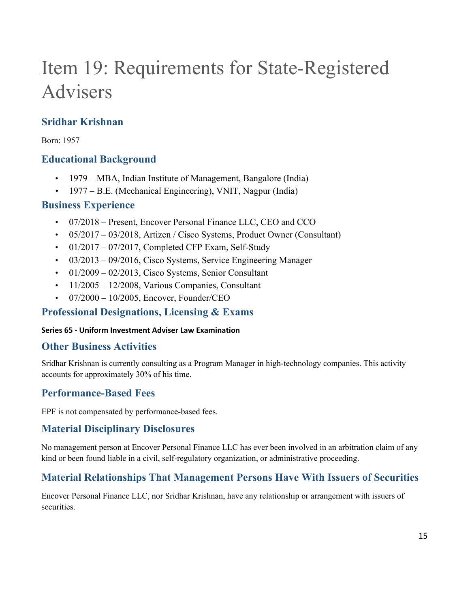# <span id="page-14-0"></span>Item 19: Requirements for State-Registered Advisers

## **Sridhar Krishnan**

Born: 1957

## **Educational Background**

- 1979 MBA, Indian Institute of Management, Bangalore (India)
- 1977 B.E. (Mechanical Engineering), VNIT, Nagpur (India)

### **Business Experience**

- 07/2018 Present, Encover Personal Finance LLC, CEO and CCO
- $05/2017 03/2018$ , Artizen / Cisco Systems, Product Owner (Consultant)
- $\cdot$  01/2017 07/2017, Completed CFP Exam, Self-Study
- 03/2013 09/2016, Cisco Systems, Service Engineering Manager
- $01/2009 02/2013$ , Cisco Systems, Senior Consultant
- $\cdot$  11/2005 12/2008, Various Companies, Consultant
- $07/2000 10/2005$ , Encover, Founder/CEO

## **Professional Designations, Licensing & Exams**

### **Series 65 - Uniform Investment Adviser Law Examination**

### **Other Business Activities**

Sridhar Krishnan is currently consulting as a Program Manager in high-technology companies. This activity accounts for approximately 30% of his time.

## **Performance-Based Fees**

EPF is not compensated by performance-based fees.

### **Material Disciplinary Disclosures**

No management person at Encover Personal Finance LLC has ever been involved in an arbitration claim of any kind or been found liable in a civil, self-regulatory organization, or administrative proceeding.

## **Material Relationships That Management Persons Have With Issuers of Securities**

Encover Personal Finance LLC, nor Sridhar Krishnan, have any relationship or arrangement with issuers of securities.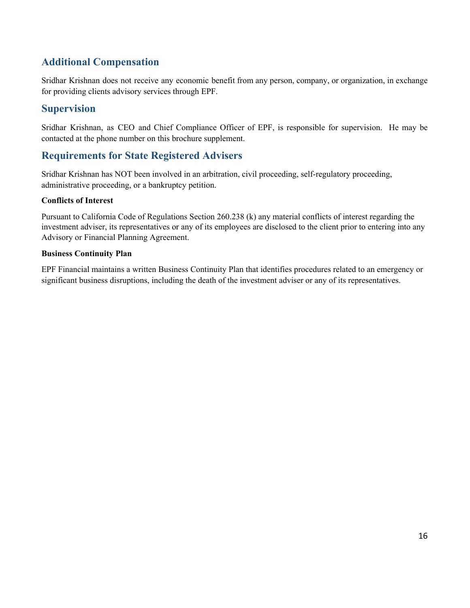## **Additional Compensation**

Sridhar Krishnan does not receive any economic benefit from any person, company, or organization, in exchange for providing clients advisory services through EPF.

### **Supervision**

Sridhar Krishnan, as CEO and Chief Compliance Officer of EPF, is responsible for supervision. He may be contacted at the phone number on this brochure supplement.

### **Requirements for State Registered Advisers**

Sridhar Krishnan has NOT been involved in an arbitration, civil proceeding, self-regulatory proceeding, administrative proceeding, or a bankruptcy petition.

### **Conflicts of Interest**

Pursuant to California Code of Regulations Section 260.238 (k) any material conflicts of interest regarding the investment adviser, its representatives or any of its employees are disclosed to the client prior to entering into any Advisory or Financial Planning Agreement.

#### **Business Continuity Plan**

EPF Financial maintains a written Business Continuity Plan that identifies procedures related to an emergency or significant business disruptions, including the death of the investment adviser or any of its representatives.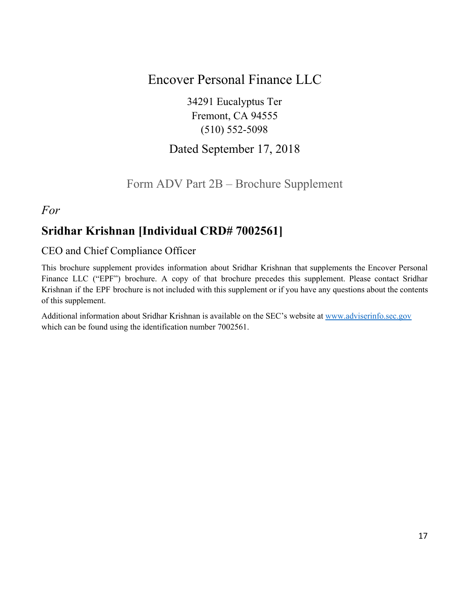## Encover Personal Finance LLC

34291 Eucalyptus Ter Fremont, CA 94555 (510) 552-5098

## Dated September 17, 2018

## Form ADV Part 2B – Brochure Supplement

### <span id="page-16-0"></span>*For*

## **Sridhar Krishnan [Individual CRD# 7002561]**

### CEO and Chief Compliance Officer

This brochure supplement provides information about Sridhar Krishnan that supplements the Encover Personal Finance LLC ("EPF") brochure. A copy of that brochure precedes this supplement. Please contact Sridhar Krishnan if the EPF brochure is not included with this supplement or if you have any questions about the contents of this supplement.

Additional information about Sridhar Krishnan is available on the SEC's website at [www.adviserinfo.sec.gov](http://www.adviserinfo.sec.gov/) which can be found using the identification number 7002561.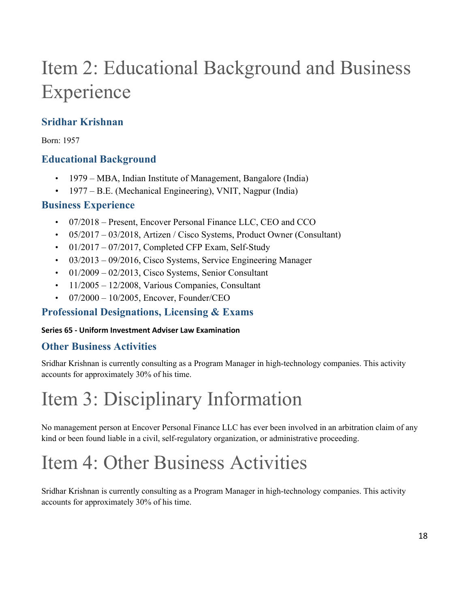# Item 2: Educational Background and Business Experience

## **Sridhar Krishnan**

Born: 1957

## **Educational Background**

- 1979 MBA, Indian Institute of Management, Bangalore (India)
- 1977 B.E. (Mechanical Engineering), VNIT, Nagpur (India)

### **Business Experience**

- 07/2018 Present, Encover Personal Finance LLC, CEO and CCO
- 05/2017 03/2018, Artizen / Cisco Systems, Product Owner (Consultant)
- $\cdot$  01/2017 07/2017, Completed CFP Exam, Self-Study
- 03/2013 09/2016, Cisco Systems, Service Engineering Manager
- $\cdot$  01/2009 02/2013, Cisco Systems, Senior Consultant
- $\cdot$  11/2005 12/2008, Various Companies, Consultant
- $07/2000 10/2005$ , Encover, Founder/CEO

## **Professional Designations, Licensing & Exams**

### **Series 65 - Uniform Investment Adviser Law Examination**

## **Other Business Activities**

Sridhar Krishnan is currently consulting as a Program Manager in high-technology companies. This activity accounts for approximately 30% of his time.

# Item 3: Disciplinary Information

No management person at Encover Personal Finance LLC has ever been involved in an arbitration claim of any kind or been found liable in a civil, self-regulatory organization, or administrative proceeding.

## Item 4: Other Business Activities

Sridhar Krishnan is currently consulting as a Program Manager in high-technology companies. This activity accounts for approximately 30% of his time.